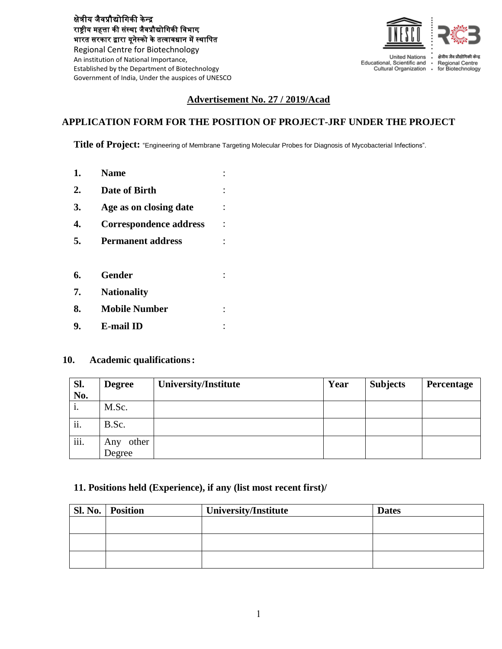क्षेत्रीय जैवप्रौद्योगिकी के न्द्र राष्ट्रीय महत्ता की संस्था, जैवप्रौद्योगिकी विभाग, भारत सरकार द्वारा यूनेस्को के तत्वावधान में स्थागित

Regional Centre for Biotechnology An institution of National Importance, Established by the Department of Biotechnology Government of India, Under the auspices of UNESCO



Educational, Scientific and Cultural Organization .

Regional Centre for Biotechnology

### **Advertisement No. 27 / 2019/Acad**

## **APPLICATION FORM FOR THE POSITION OF PROJECT-JRF UNDER THE PROJECT**

**Title of Project:** "Engineering of Membrane Targeting Molecular Probes for Diagnosis of Mycobacterial Infections".

- **1. Name** : **2. Date of Birth** : **3. Age as on closing date** : **4. Correspondence address** : **5. Permanent address** : **6. Gender** : **7. Nationality 8. Mobile Number** :
- **9. E-mail ID** :

#### **10. Academic qualifications:**

| Sl.<br>No. | <b>Degree</b>          | <b>University/Institute</b> | Year | <b>Subjects</b> | Percentage |
|------------|------------------------|-----------------------------|------|-----------------|------------|
| 1.         | M.Sc.                  |                             |      |                 |            |
| ii.        | B.Sc.                  |                             |      |                 |            |
| iii.       | other<br>Any<br>Degree |                             |      |                 |            |

### **11. Positions held (Experience), if any (list most recent first)/**

| Sl. No.   Position | <b>University/Institute</b> | <b>Dates</b> |
|--------------------|-----------------------------|--------------|
|                    |                             |              |
|                    |                             |              |
|                    |                             |              |
|                    |                             |              |